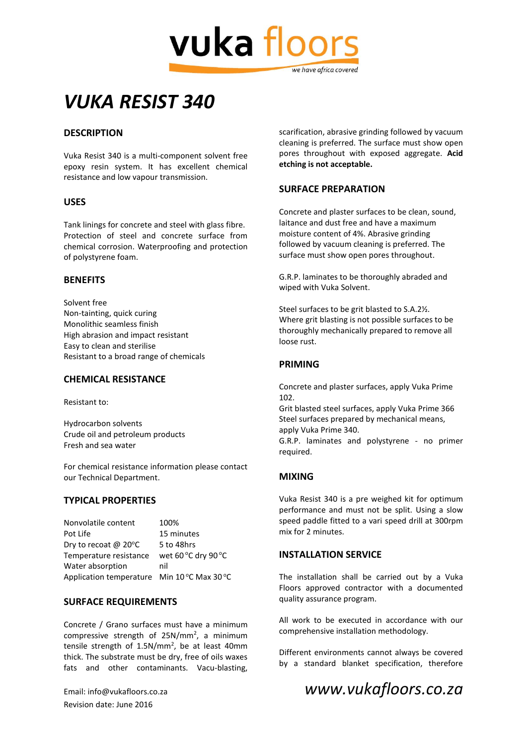

# *VUKA RESIST 340*

# **DESCRIPTION**

Vuka Resist 340 is a multi-component solvent free epoxy resin system. It has excellent chemical resistance and low vapour transmission.

#### **USES**

Tank linings for concrete and steel with glass fibre. Protection of steel and concrete surface from chemical corrosion. Waterproofing and protection of polystyrene foam.

#### **BENEFITS**

Solvent free Non-tainting, quick curing Monolithic seamless finish High abrasion and impact resistant Easy to clean and sterilise Resistant to a broad range of chemicals

#### **CHEMICAL RESISTANCE**

Resistant to:

Hydrocarbon solvents Crude oil and petroleum products Fresh and sea water

For chemical resistance information please contact our Technical Department.

## **TYPICAL PROPERTIES**

| Nonvolatile content                       | 100%                |
|-------------------------------------------|---------------------|
| Pot Life                                  | 15 minutes          |
| Dry to recoat @ 20°C                      | 5 to 48hrs          |
| Temperature resistance                    | wet 60 °C dry 90 °C |
| Water absorption                          | nil                 |
| Application temperature Min 10°C Max 30°C |                     |

#### **SURFACE REQUIREMENTS**

Concrete / Grano surfaces must have a minimum compressive strength of 25N/mm<sup>2</sup>, a minimum tensile strength of 1.5N/mm<sup>2</sup>, be at least 40mm thick. The substrate must be dry, free of oils waxes fats and other contaminants. Vacu-blasting,

Revision date: June 2016

scarification, abrasive grinding followed by vacuum cleaning is preferred. The surface must show open pores throughout with exposed aggregate. **Acid etching is not acceptable.**

## **SURFACE PREPARATION**

Concrete and plaster surfaces to be clean, sound, laitance and dust free and have a maximum moisture content of 4%. Abrasive grinding followed by vacuum cleaning is preferred. The surface must show open pores throughout.

G.R.P. laminates to be thoroughly abraded and wiped with Vuka Solvent.

Steel surfaces to be grit blasted to S.A.2½. Where grit blasting is not possible surfaces to be thoroughly mechanically prepared to remove all loose rust.

## **PRIMING**

Concrete and plaster surfaces, apply Vuka Prime 102.

Grit blasted steel surfaces, apply Vuka Prime 366 Steel surfaces prepared by mechanical means, apply Vuka Prime 340.

G.R.P. laminates and polystyrene - no primer required.

#### **MIXING**

Vuka Resist 340 is a pre weighed kit for optimum performance and must not be split. Using a slow speed paddle fitted to a vari speed drill at 300rpm mix for 2 minutes.

#### **INSTALLATION SERVICE**

The installation shall be carried out by a Vuka Floors approved contractor with a documented quality assurance program.

All work to be executed in accordance with our comprehensive installation methodology.

Different environments cannot always be covered by a standard blanket specification, therefore

# Email: info@vukafloors.co.za *www.vukafloors.co.za*